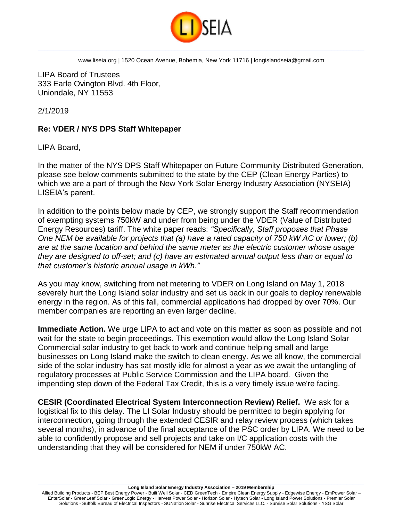

LIPA Board of Trustees 333 Earle Ovington Blvd. 4th Floor, Uniondale, NY 11553

2/1/2019

## **Re: VDER / NYS DPS Staff Whitepaper**

LIPA Board,

In the matter of the NYS DPS Staff Whitepaper on Future Community Distributed Generation*,*  please see below comments submitted to the state by the CEP (Clean Energy Parties) to which we are a part of through the New York Solar Energy Industry Association (NYSEIA) LISEIA's parent.

In addition to the points below made by CEP, we strongly support the Staff recommendation of exempting systems 750kW and under from being under the VDER (Value of Distributed Energy Resources) tariff. The white paper reads: *"Specifically, Staff proposes that Phase One NEM be available for projects that (a) have a rated capacity of 750 kW AC or lower; (b) are at the same location and behind the same meter as the electric customer whose usage they are designed to off-set; and (c) have an estimated annual output less than or equal to that customer's historic annual usage in kWh."*

As you may know, switching from net metering to VDER on Long Island on May 1, 2018 severely hurt the Long Island solar industry and set us back in our goals to deploy renewable energy in the region. As of this fall, commercial applications had dropped by over 70%. Our member companies are reporting an even larger decline.

**Immediate Action.** We urge LIPA to act and vote on this matter as soon as possible and not wait for the state to begin proceedings. This exemption would allow the Long Island Solar Commercial solar industry to get back to work and continue helping small and large businesses on Long Island make the switch to clean energy. As we all know, the commercial side of the solar industry has sat mostly idle for almost a year as we await the untangling of regulatory processes at Public Service Commission and the LIPA board. Given the impending step down of the Federal Tax Credit, this is a very timely issue we're facing.

**CESIR (Coordinated Electrical System Interconnection Review) Relief.** We ask for a logistical fix to this delay. The LI Solar Industry should be permitted to begin applying for interconnection, going through the extended CESIR and relay review process (which takes several months), in advance of the final acceptance of the PSC order by LIPA. We need to be able to confidently propose and sell projects and take on I/C application costs with the understanding that they will be considered for NEM if under 750kW AC.

 $\_$  ,  $\_$  ,  $\_$  ,  $\_$  ,  $\_$  ,  $\_$  ,  $\_$  ,  $\_$  ,  $\_$  ,  $\_$  ,  $\_$  ,  $\_$  ,  $\_$  ,  $\_$  ,  $\_$  ,  $\_$  ,  $\_$  ,  $\_$  ,  $\_$  ,  $\_$  ,  $\_$  ,  $\_$  ,  $\_$  ,  $\_$  ,  $\_$  ,  $\_$  ,  $\_$  ,  $\_$  ,  $\_$  ,  $\_$  ,  $\_$  ,  $\_$  ,  $\_$  ,  $\_$  ,  $\_$  ,  $\_$  ,  $\_$  , **Long Island Solar Energy Industry Association – 2019 Membership**

Allied Building Products - BEP Best Energy Power - Built Well Solar - CED GreenTech - Empire Clean Energy Supply - Edgewise Energy - EmPower Solar – EnterSolar - GreenLeaf Solar - GreenLogic Energy - Harvest Power Solar - Horizon Solar - Hytech Solar - Long Island Power Solutions - Premier Solar Solutions - Suffolk Bureau of Electrical Inspectors - SUNation Solar - Sunrise Electrical Services LLC. - Sunrise Solar Solutions - YSG Solar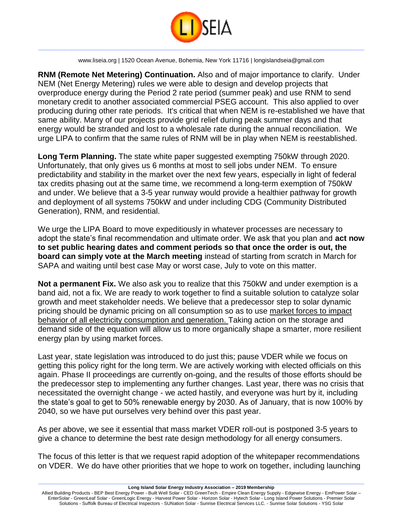

**RNM (Remote Net Metering) Continuation.** Also and of major importance to clarify. Under NEM (Net Energy Metering) rules we were able to design and develop projects that overproduce energy during the Period 2 rate period (summer peak) and use RNM to send monetary credit to another associated commercial PSEG account. This also applied to over producing during other rate periods. It's critical that when NEM is re-established we have that same ability. Many of our projects provide grid relief during peak summer days and that energy would be stranded and lost to a wholesale rate during the annual reconciliation. We urge LIPA to confirm that the same rules of RNM will be in play when NEM is reestablished.

**Long Term Planning.** The state white paper suggested exempting 750kW through 2020. Unfortunately, that only gives us 6 months at most to sell jobs under NEM. To ensure predictability and stability in the market over the next few years, especially in light of federal tax credits phasing out at the same time, we recommend a long-term exemption of 750kW and under. We believe that a 3-5 year runway would provide a healthier pathway for growth and deployment of all systems 750kW and under including CDG (Community Distributed Generation), RNM, and residential.

We urge the LIPA Board to move expeditiously in whatever processes are necessary to adopt the state's final recommendation and ultimate order. We ask that you plan and **act now to set public hearing dates and comment periods so that once the order is out, the board can simply vote at the March meeting** instead of starting from scratch in March for SAPA and waiting until best case May or worst case, July to vote on this matter.

**Not a permanent Fix.** We also ask you to realize that this 750kW and under exemption is a band aid, not a fix. We are ready to work together to find a suitable solution to catalyze solar growth and meet stakeholder needs. We believe that a predecessor step to solar dynamic pricing should be dynamic pricing on all consumption so as to use market forces to impact behavior of all electricity consumption and generation. Taking action on the storage and demand side of the equation will allow us to more organically shape a smarter, more resilient energy plan by using market forces.

Last year, state legislation was introduced to do just this; pause VDER while we focus on getting this policy right for the long term. We are actively working with elected officials on this again. Phase II proceedings are currently on-going, and the results of those efforts should be the predecessor step to implementing any further changes. Last year, there was no crisis that necessitated the overnight change - we acted hastily, and everyone was hurt by it, including the state's goal to get to 50% renewable energy by 2030. As of January, that is now 100% by 2040, so we have put ourselves very behind over this past year.

As per above, we see it essential that mass market VDER roll-out is postponed 3-5 years to give a chance to determine the best rate design methodology for all energy consumers.

The focus of this letter is that we request rapid adoption of the whitepaper recommendations on VDER. We do have other priorities that we hope to work on together, including launching

 $\_$  ,  $\_$  ,  $\_$  ,  $\_$  ,  $\_$  ,  $\_$  ,  $\_$  ,  $\_$  ,  $\_$  ,  $\_$  ,  $\_$  ,  $\_$  ,  $\_$  ,  $\_$  ,  $\_$  ,  $\_$  ,  $\_$  ,  $\_$  ,  $\_$  ,  $\_$  ,  $\_$  ,  $\_$  ,  $\_$  ,  $\_$  ,  $\_$  ,  $\_$  ,  $\_$  ,  $\_$  ,  $\_$  ,  $\_$  ,  $\_$  ,  $\_$  ,  $\_$  ,  $\_$  ,  $\_$  ,  $\_$  ,  $\_$  , **Long Island Solar Energy Industry Association – 2019 Membership**

Allied Building Products - BEP Best Energy Power - Built Well Solar - CED GreenTech - Empire Clean Energy Supply - Edgewise Energy - EmPower Solar – EnterSolar - GreenLeaf Solar - GreenLogic Energy - Harvest Power Solar - Horizon Solar - Hytech Solar - Long Island Power Solutions - Premier Solar Solutions - Suffolk Bureau of Electrical Inspectors - SUNation Solar - Sunrise Electrical Services LLC. - Sunrise Solar Solutions - YSG Solar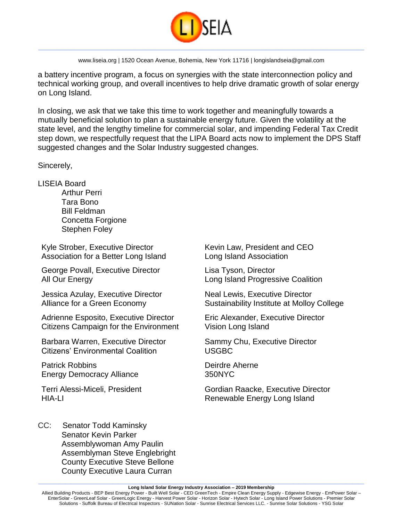

a battery incentive program, a focus on synergies with the state interconnection policy and technical working group, and overall incentives to help drive dramatic growth of solar energy on Long Island.

In closing, we ask that we take this time to work together and meaningfully towards a mutually beneficial solution to plan a sustainable energy future. Given the volatility at the state level, and the lengthy timeline for commercial solar, and impending Federal Tax Credit step down, we respectfully request that the LIPA Board acts now to implement the DPS Staff suggested changes and the Solar Industry suggested changes.

Sincerely,

LISEIA Board

Arthur Perri Tara Bono Bill Feldman Concetta Forgione Stephen Foley

Kyle Strober, Executive Director Association for a Better Long Island

George Povall, Executive Director All Our Energy

Jessica Azulay, Executive Director Alliance for a Green Economy

Adrienne Esposito, Executive Director Citizens Campaign for the Environment

Barbara Warren, Executive Director Citizens' Environmental Coalition

Patrick Robbins Energy Democracy Alliance

Terri Alessi-Miceli, President HIA-LI

Kevin Law, President and CEO Long Island Association

Lisa Tyson, Director Long Island Progressive Coalition

Neal Lewis, Executive Director Sustainability Institute at Molloy College

Eric Alexander, Executive Director Vision Long Island

Sammy Chu, Executive Director USGBC

Deirdre Aherne 350NYC

Gordian Raacke, Executive Director Renewable Energy Long Island

CC: Senator Todd Kaminsky Senator Kevin Parker Assemblywoman Amy Paulin Assemblyman Steve Englebright County Executive Steve Bellone County Executive Laura Curran

 $\_$  ,  $\_$  ,  $\_$  ,  $\_$  ,  $\_$  ,  $\_$  ,  $\_$  ,  $\_$  ,  $\_$  ,  $\_$  ,  $\_$  ,  $\_$  ,  $\_$  ,  $\_$  ,  $\_$  ,  $\_$  ,  $\_$  ,  $\_$  ,  $\_$  ,  $\_$  ,  $\_$  ,  $\_$  ,  $\_$  ,  $\_$  ,  $\_$  ,  $\_$  ,  $\_$  ,  $\_$  ,  $\_$  ,  $\_$  ,  $\_$  ,  $\_$  ,  $\_$  ,  $\_$  ,  $\_$  ,  $\_$  ,  $\_$  , **Long Island Solar Energy Industry Association – 2019 Membership**

Allied Building Products - BEP Best Energy Power - Built Well Solar - CED GreenTech - Empire Clean Energy Supply - Edgewise Energy - EmPower Solar – EnterSolar - GreenLeaf Solar - GreenLogic Energy - Harvest Power Solar - Horizon Solar - Hytech Solar - Long Island Power Solutions - Premier Solar Solutions - Suffolk Bureau of Electrical Inspectors - SUNation Solar - Sunrise Electrical Services LLC. - Sunrise Solar Solutions - YSG Solar